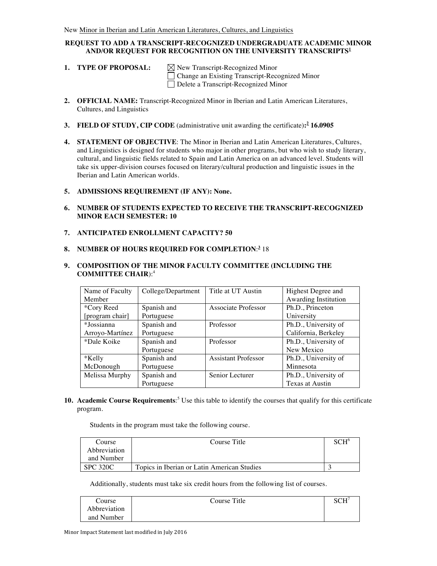## **REQUEST TO ADD A TRANSCRIPT-RECOGNIZED UNDERGRADUATE ACADEMIC MINOR AND/OR REQUEST FOR RECOGNITION ON THE UNIVERSITY TRANSCRIPTS<sup>1</sup>**

**1. TYPE OF PROPOSAL:**  $\boxtimes$  New Transcript-Recognized Minor

Change an Existing Transcript-Recognized Minor Delete a Transcript-Recognized Minor

- **2. OFFICIAL NAME:** Transcript-Recognized Minor in Iberian and Latin American Literatures, Cultures, and Linguistics
- **3. FIELD OF STUDY, CIP CODE** (administrative unit awarding the certificate)**: <sup>2</sup> 16.0905**
- **4. STATEMENT OF OBJECTIVE**: The Minor in Iberian and Latin American Literatures, Cultures, and Linguistics is designed for students who major in other programs, but who wish to study literary, cultural, and linguistic fields related to Spain and Latin America on an advanced level. Students will take six upper-division courses focused on literary/cultural production and linguistic issues in the Iberian and Latin American worlds.
- **5. ADMISSIONS REQUIREMENT (IF ANY): None.**
- **6. NUMBER OF STUDENTS EXPECTED TO RECEIVE THE TRANSCRIPT-RECOGNIZED MINOR EACH SEMESTER: 10**
- **7. ANTICIPATED ENROLLMENT CAPACITY? 50**
- **8. NUMBER OF HOURS REQUIRED FOR COMPLETION**: **<sup>3</sup>** 18

# **9. COMPOSITION OF THE MINOR FACULTY COMMITTEE (INCLUDING THE COMMITTEE CHAIR**):4

| Name of Faculty | College/Department | Title at UT Austin         | Highest Degree and   |
|-----------------|--------------------|----------------------------|----------------------|
| Member          |                    |                            | Awarding Institution |
| *Cory Reed      | Spanish and        | Associate Professor        | Ph.D., Princeton     |
| [program chair] | Portuguese         |                            | University           |
| *Jossianna      | Spanish and        | Professor                  | Ph.D., University of |
| Arroyo-Martínez | Portuguese         |                            | California, Berkeley |
| *Dale Koike     | Spanish and        | Professor                  | Ph.D., University of |
|                 | Portuguese         |                            | New Mexico           |
| *Kelly          | Spanish and        | <b>Assistant Professor</b> | Ph.D., University of |
| McDonough       | Portuguese         |                            | Minnesota            |
| Melissa Murphy  | Spanish and        | Senior Lecturer            | Ph.D., University of |
|                 | Portuguese         |                            | Texas at Austin      |

**10. Academic Course Requirements**: <sup>5</sup> Use this table to identify the courses that qualify for this certificate program.

Students in the program must take the following course.

| Course       | Course Title                                | $\mathbf{C}\mathbf{H}^{\mathsf{c}}$ |
|--------------|---------------------------------------------|-------------------------------------|
| Abbreviation |                                             |                                     |
| and Number   |                                             |                                     |
| SPC 320C     | Topics in Iberian or Latin American Studies |                                     |

Additionally, students must take six credit hours from the following list of courses.

| Course       | Course Title | CCT |
|--------------|--------------|-----|
| Abbreviation |              |     |
| and Number   |              |     |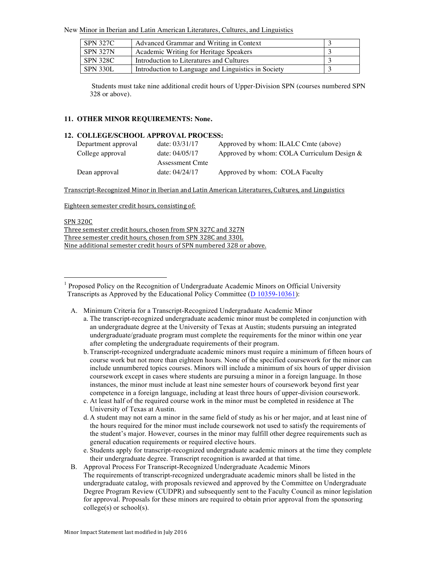New Minor in Iberian and Latin American Literatures, Cultures, and Linguistics

| <b>SPN 327C</b> | Advanced Grammar and Writing in Context             |  |
|-----------------|-----------------------------------------------------|--|
| <b>SPN 327N</b> | Academic Writing for Heritage Speakers              |  |
| SPN 328C        | Introduction to Literatures and Cultures            |  |
| SPN 330L        | Introduction to Language and Linguistics in Society |  |

Students must take nine additional credit hours of Upper-Division SPN (courses numbered SPN 328 or above).

#### **11. OTHER MINOR REQUIREMENTS: None.**

### **12. COLLEGE/SCHOOL APPROVAL PROCESS:**

| Department approval | date: $03/31/17$ | Approved by whom: ILALC Cmte (above)       |
|---------------------|------------------|--------------------------------------------|
| College approval    | date: $04/05/17$ | Approved by whom: COLA Curriculum Design & |
|                     | Assessment Cmte  |                                            |
| Dean approval       | date: 04/24/17   | Approved by whom: COLA Faculty             |

Transcript-Recognized Minor in Iberian and Latin American Literatures, Cultures, and Linguistics

Eighteen semester credit hours, consisting of:

#### SPN 320C

Three semester credit hours, chosen from SPN 327C and 327N Three semester credit hours, chosen from SPN 328C and 330L Nine additional semester credit hours of SPN numbered 328 or above.

- A. Minimum Criteria for a Transcript-Recognized Undergraduate Academic Minor
	- a. The transcript-recognized undergraduate academic minor must be completed in conjunction with an undergraduate degree at the University of Texas at Austin; students pursuing an integrated undergraduate/graduate program must complete the requirements for the minor within one year after completing the undergraduate requirements of their program.
	- b. Transcript-recognized undergraduate academic minors must require a minimum of fifteen hours of course work but not more than eighteen hours. None of the specified coursework for the minor can include unnumbered topics courses. Minors will include a minimum of six hours of upper division coursework except in cases where students are pursuing a minor in a foreign language. In those instances, the minor must include at least nine semester hours of coursework beyond first year competence in a foreign language, including at least three hours of upper-division coursework.
	- c. At least half of the required course work in the minor must be completed in residence at The University of Texas at Austin.
	- d. A student may not earn a minor in the same field of study as his or her major, and at least nine of the hours required for the minor must include coursework not used to satisfy the requirements of the student's major. However, courses in the minor may fulfill other degree requirements such as general education requirements or required elective hours.
	- e. Students apply for transcript-recognized undergraduate academic minors at the time they complete their undergraduate degree. Transcript recognition is awarded at that time.
- B. Approval Process For Transcript-Recognized Undergraduate Academic Minors The requirements of transcript-recognized undergraduate academic minors shall be listed in the undergraduate catalog, with proposals reviewed and approved by the Committee on Undergraduate Degree Program Review (CUDPR) and subsequently sent to the Faculty Council as minor legislation for approval. Proposals for these minors are required to obtain prior approval from the sponsoring college(s) or school(s).

 <sup>1</sup> Proposed Policy on the Recognition of Undergraduate Academic Minors on Official University Transcripts as Approved by the Educational Policy Committee (D 10359-10361):